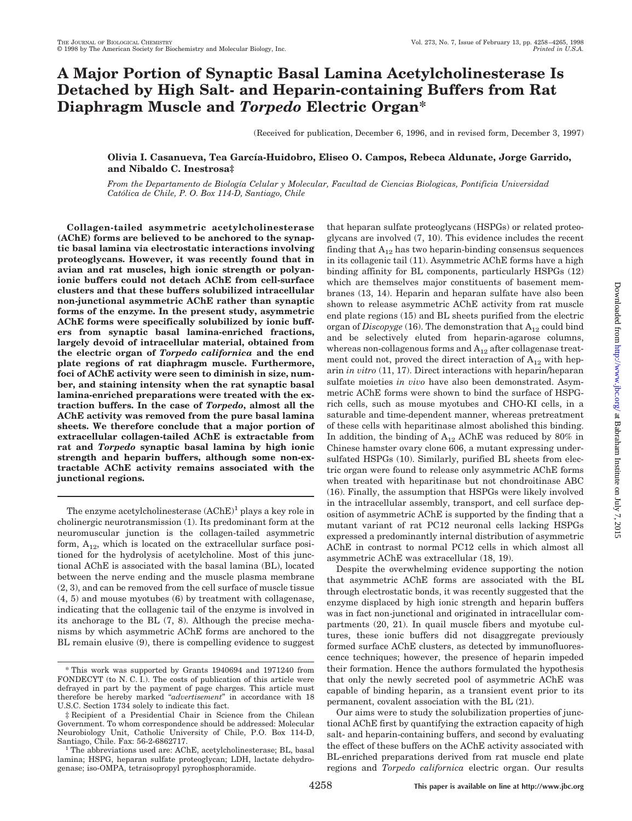# **A Major Portion of Synaptic Basal Lamina Acetylcholinesterase Is Detached by High Salt- and Heparin-containing Buffers from Rat Diaphragm Muscle and** *Torpedo* **Electric Organ\***

(Received for publication, December 6, 1996, and in revised form, December 3, 1997)

# **Olivia I. Casanueva, Tea Garcı´a-Huidobro, Eliseo O. Campos, Rebeca Aldunate, Jorge Garrido, and Nibaldo C. Inestrosa‡**

*From the Departamento de Biologı´a Celular y Molecular, Facultad de Ciencias Biologicas, Pontificia Universidad Cato´lica de Chile, P. O. Box 114-D, Santiago, Chile*

**Collagen-tailed asymmetric acetylcholinesterase (AChE) forms are believed to be anchored to the synaptic basal lamina via electrostatic interactions involving proteoglycans. However, it was recently found that in avian and rat muscles, high ionic strength or polyanionic buffers could not detach AChE from cell-surface clusters and that these buffers solubilized intracellular non-junctional asymmetric AChE rather than synaptic forms of the enzyme. In the present study, asymmetric AChE forms were specifically solubilized by ionic buffers from synaptic basal lamina-enriched fractions, largely devoid of intracellular material, obtained from the electric organ of** *Torpedo californica* **and the end plate regions of rat diaphragm muscle. Furthermore, foci of AChE activity were seen to diminish in size, number, and staining intensity when the rat synaptic basal lamina-enriched preparations were treated with the extraction buffers. In the case of** *Torpedo***, almost all the AChE activity was removed from the pure basal lamina sheets. We therefore conclude that a major portion of extracellular collagen-tailed AChE is extractable from rat and** *Torpedo* **synaptic basal lamina by high ionic strength and heparin buffers, although some non-extractable AChE activity remains associated with the junctional regions.**

The enzyme acetylcholinesterase  $(AChE)^1$  plays a key role in cholinergic neurotransmission (1). Its predominant form at the neuromuscular junction is the collagen-tailed asymmetric form,  $A_{12}$ , which is located on the extracellular surface positioned for the hydrolysis of acetylcholine. Most of this junctional AChE is associated with the basal lamina (BL), located between the nerve ending and the muscle plasma membrane (2, 3), and can be removed from the cell surface of muscle tissue (4, 5) and mouse myotubes (6) by treatment with collagenase, indicating that the collagenic tail of the enzyme is involved in its anchorage to the BL (7, 8). Although the precise mechanisms by which asymmetric AChE forms are anchored to the BL remain elusive (9), there is compelling evidence to suggest that heparan sulfate proteoglycans (HSPGs) or related proteoglycans are involved (7, 10). This evidence includes the recent finding that  $A_{12}$  has two heparin-binding consensus sequences in its collagenic tail (11). Asymmetric AChE forms have a high binding affinity for BL components, particularly HSPGs (12) which are themselves major constituents of basement membranes (13, 14). Heparin and heparan sulfate have also been shown to release asymmetric AChE activity from rat muscle end plate regions (15) and BL sheets purified from the electric organ of *Discopyge* (16). The demonstration that  $A_{12}$  could bind and be selectively eluted from heparin-agarose columns, whereas non-collagenous forms and  $A_{12}$  after collagenase treatment could not, proved the direct interaction of  $A_{12}$  with heparin *in vitro* (11, 17). Direct interactions with heparin/heparan sulfate moieties *in vivo* have also been demonstrated. Asymmetric AChE forms were shown to bind the surface of HSPGrich cells, such as mouse myotubes and CHO-KI cells, in a saturable and time-dependent manner, whereas pretreatment of these cells with heparitinase almost abolished this binding. In addition, the binding of  $A_{12}$  AChE was reduced by 80% in Chinese hamster ovary clone 606, a mutant expressing undersulfated HSPGs (10). Similarly, purified BL sheets from electric organ were found to release only asymmetric AChE forms when treated with heparitinase but not chondroitinase ABC (16). Finally, the assumption that HSPGs were likely involved in the intracellular assembly, transport, and cell surface deposition of asymmetric AChE is supported by the finding that a mutant variant of rat PC12 neuronal cells lacking HSPGs expressed a predominantly internal distribution of asymmetric AChE in contrast to normal PC12 cells in which almost all asymmetric AChE was extracellular (18, 19).

Despite the overwhelming evidence supporting the notion that asymmetric AChE forms are associated with the BL through electrostatic bonds, it was recently suggested that the enzyme displaced by high ionic strength and heparin buffers was in fact non-junctional and originated in intracellular compartments (20, 21). In quail muscle fibers and myotube cultures, these ionic buffers did not disaggregate previously formed surface AChE clusters, as detected by immunofluorescence techniques; however, the presence of heparin impeded their formation. Hence the authors formulated the hypothesis that only the newly secreted pool of asymmetric AChE was capable of binding heparin, as a transient event prior to its permanent, covalent association with the BL (21).

Our aims were to study the solubilization properties of junctional AChE first by quantifying the extraction capacity of high salt- and heparin-containing buffers, and second by evaluating the effect of these buffers on the AChE activity associated with BL-enriched preparations derived from rat muscle end plate regions and *Torpedo californica* electric organ. Our results

<sup>\*</sup> This work was supported by Grants 1940694 and 1971240 from FONDECYT (to N. C. I.). The costs of publication of this article were defrayed in part by the payment of page charges. This article must therefore be hereby marked "*advertisement*" in accordance with 18 U.S.C. Section 1734 solely to indicate this fact.

<sup>‡</sup> Recipient of a Presidential Chair in Science from the Chilean Government. To whom correspondence should be addressed: Molecular Neurobiology Unit, Catholic University of Chile, P.O. Box 114-D,

The abbreviations used are: AChE, acetylcholinesterase; BL, basal lamina; HSPG, heparan sulfate proteoglycan; LDH, lactate dehydrogenase; iso-OMPA, tetraisopropyl pyrophosphoramide.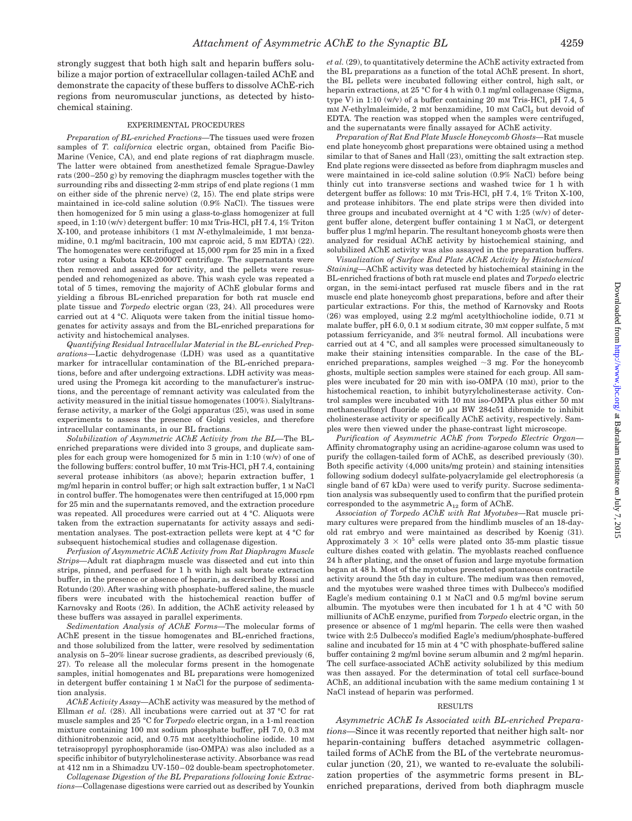strongly suggest that both high salt and heparin buffers solubilize a major portion of extracellular collagen-tailed AChE and demonstrate the capacity of these buffers to dissolve AChE-rich regions from neuromuscular junctions, as detected by histochemical staining.

### EXPERIMENTAL PROCEDURES

*Preparation of BL-enriched Fractions—*The tissues used were frozen samples of *T. californica* electric organ, obtained from Pacific Bio-Marine (Venice, CA), and end plate regions of rat diaphragm muscle. The latter were obtained from anesthetized female Sprague-Dawley rats (200–250 g) by removing the diaphragm muscles together with the surrounding ribs and dissecting 2-mm strips of end plate regions (1 mm on either side of the phrenic nerve) (2, 15). The end plate strips were maintained in ice-cold saline solution (0.9% NaCl). The tissues were then homogenized for 5 min using a glass-to-glass homogenizer at full speed, in 1:10 (w/v) detergent buffer: 10 mM Tris-HCl, pH 7.4, 1% Triton X-100, and protease inhibitors (1 mM *N*-ethylmaleimide, 1 mM benzamidine, 0.1 mg/ml bacitracin, 100 mM caproic acid, 5 mM EDTA) (22). The homogenates were centrifuged at 15,000 rpm for 25 min in a fixed rotor using a Kubota KR-20000T centrifuge. The supernatants were then removed and assayed for activity, and the pellets were resuspended and rehomogenized as above. This wash cycle was repeated a total of 5 times, removing the majority of AChE globular forms and yielding a fibrous BL-enriched preparation for both rat muscle end plate tissue and *Torpedo* electric organ (23, 24). All procedures were carried out at 4 °C. Aliquots were taken from the initial tissue homogenates for activity assays and from the BL-enriched preparations for activity and histochemical analyses.

*Quantifying Residual Intracellular Material in the BL-enriched Preparations—*Lactic dehydrogenase (LDH) was used as a quantitative marker for intracellular contamination of the BL-enriched preparations, before and after undergoing extractions. LDH activity was measured using the Promega kit according to the manufacturer's instructions, and the percentage of remnant activity was calculated from the activity measured in the initial tissue homogenates (100%). Sialyltransferase activity, a marker of the Golgi apparatus (25), was used in some experiments to assess the presence of Golgi vesicles, and therefore intracellular contaminants, in our BL fractions.

*Solubilization of Asymmetric AChE Activity from the BL—*The BLenriched preparations were divided into 3 groups, and duplicate samples for each group were homogenized for 5 min in 1:10 (w/v) of one of the following buffers: control buffer, 10 mM Tris-HCl, pH 7.4, containing several protease inhibitors (as above); heparin extraction buffer, 1 mg/ml heparin in control buffer; or high salt extraction buffer, 1 M NaCl in control buffer. The homogenates were then centrifuged at 15,000 rpm for 25 min and the supernatants removed, and the extraction procedure was repeated. All procedures were carried out at 4 °C. Aliquots were taken from the extraction supernatants for activity assays and sedimentation analyses. The post-extraction pellets were kept at 4 °C for subsequent histochemical studies and collagenase digestion.

*Perfusion of Asymmetric AChE Activity from Rat Diaphragm Muscle Strips—*Adult rat diaphragm muscle was dissected and cut into thin strips, pinned, and perfused for 1 h with high salt borate extraction buffer, in the presence or absence of heparin, as described by Rossi and Rotundo (20). After washing with phosphate-buffered saline, the muscle fibers were incubated with the histochemical reaction buffer of Karnovsky and Roots (26). In addition, the AChE activity released by these buffers was assayed in parallel experiments.

*Sedimentation Analysis of AChE Forms—*The molecular forms of AChE present in the tissue homogenates and BL-enriched fractions, and those solubilized from the latter, were resolved by sedimentation analysis on 5–20% linear sucrose gradients, as described previously (6, 27). To release all the molecular forms present in the homogenate samples, initial homogenates and BL preparations were homogenized in detergent buffer containing 1 M NaCl for the purpose of sedimentation analysis.

*AChE Activity Assay—*AChE activity was measured by the method of Ellman *et al.* (28). All incubations were carried out at 37 °C for rat muscle samples and 25 °C for *Torpedo* electric organ, in a 1-ml reaction mixture containing 100 mM sodium phosphate buffer, pH 7.0, 0.3 mM dithionitrobenzoic acid, and 0.75 mM acetylthiocholine iodide. 10 mM tetraisopropyl pyrophosphoramide (iso-OMPA) was also included as a specific inhibitor of butyrylcholinesterase activity. Absorbance was read at 412 nm in a Shimadzu UV-150–02 double-beam spectrophotometer.

*Collagenase Digestion of the BL Preparations following Ionic Extractions—*Collagenase digestions were carried out as described by Younkin *et al.* (29), to quantitatively determine the AChE activity extracted from the BL preparations as a function of the total AChE present. In short, the BL pellets were incubated following either control, high salt, or heparin extractions, at 25 °C for 4 h with 0.1 mg/ml collagenase (Sigma, type V) in 1:10 (w/v) of a buffer containing 20 mM Tris-HCl, pH 7.4, 5 mM *N*-ethylmaleimide, 2 mM benzamidine, 10 mM CaCl<sub>2</sub> but devoid of EDTA. The reaction was stopped when the samples were centrifuged, and the supernatants were finally assayed for AChE activity.

*Preparation of Rat End Plate Muscle Honeycomb Ghosts—*Rat muscle end plate honeycomb ghost preparations were obtained using a method similar to that of Sanes and Hall (23), omitting the salt extraction step. End plate regions were dissected as before from diaphragm muscles and were maintained in ice-cold saline solution (0.9% NaCl) before being thinly cut into transverse sections and washed twice for 1 h with detergent buffer as follows: 10 mM Tris-HCl, pH 7.4, 1% Triton X-100, and protease inhibitors. The end plate strips were then divided into three groups and incubated overnight at 4  $^{\circ}\mathrm{C}$  with 1:25 (w/v) of detergent buffer alone, detergent buffer containing 1 M NaCl, or detergent buffer plus 1 mg/ml heparin. The resultant honeycomb ghosts were then analyzed for residual AChE activity by histochemical staining, and solubilized AChE activity was also assayed in the preparation buffers.

*Visualization of Surface End Plate AChE Activity by Histochemical Staining—*AChE activity was detected by histochemical staining in the BL-enriched fractions of both rat muscle end plates and *Torpedo* electric organ, in the semi-intact perfused rat muscle fibers and in the rat muscle end plate honeycomb ghost preparations, before and after their particular extractions. For this, the method of Karnovsky and Roots (26) was employed, using 2.2 mg/ml acetylthiocholine iodide, 0.71 M malate buffer, pH 6.0, 0.1 M sodium citrate, 30 mM copper sulfate, 5 mM potassium ferricyanide, and 3% neutral formol. All incubations were carried out at 4 °C, and all samples were processed simultaneously to make their staining intensities comparable. In the case of the BLenriched preparations, samples weighed  $\sim$ 3 mg. For the honeycomb ghosts, multiple section samples were stained for each group. All samples were incubated for 20 min with iso-OMPA (10 mM), prior to the histochemical reaction, to inhibit butyrylcholinesterase activity. Control samples were incubated with 10 mM iso-OMPA plus either 50 mM methanesulfonyl fluoride or 10  $\mu$ M BW 284c51 dibromide to inhibit cholinesterase activity or specifically AChE activity, respectively. Samples were then viewed under the phase-contrast light microscope.

*Purification of Asymmetric AChE from Torpedo Electric Organ—* Affinity chromatography using an acridine-agarose column was used to purify the collagen-tailed form of AChE, as described previously (30). Both specific activity (4,000 units/mg protein) and staining intensities following sodium dodecyl sulfate-polyacrylamide gel electrophoresis (a single band of 67 kDa) were used to verify purity. Sucrose sedimentation analysis was subsequently used to confirm that the purified protein corresponded to the asymmetric  $A_{12}$  form of AChE.

*Association of Torpedo AChE with Rat Myotubes—*Rat muscle primary cultures were prepared from the hindlimb muscles of an 18-dayold rat embryo and were maintained as described by Koenig (31). Approximately  $3 \times 10^5$  cells were plated onto 35-mm plastic tissue culture dishes coated with gelatin. The myoblasts reached confluence 24 h after plating, and the onset of fusion and large myotube formation began at 48 h. Most of the myotubes presented spontaneous contractile activity around the 5th day in culture. The medium was then removed, and the myotubes were washed three times with Dulbecco's modified Eagle's medium containing 0.1 M NaCl and 0.5 mg/ml bovine serum albumin. The myotubes were then incubated for 1 h at 4 °C with 50 milliunits of AChE enzyme, purified from *Torpedo* electric organ, in the presence or absence of 1 mg/ml heparin. The cells were then washed twice with 2:5 Dulbecco's modified Eagle's medium/phosphate-buffered saline and incubated for 15 min at 4 °C with phosphate-buffered saline buffer containing 2 mg/ml bovine serum albumin and 2 mg/ml heparin. The cell surface-associated AChE activity solubilized by this medium was then assayed. For the determination of total cell surface-bound AChE, an additional incubation with the same medium containing 1 M NaCl instead of heparin was performed.

#### RESULTS

*Asymmetric AChE Is Associated with BL-enriched Preparations—*Since it was recently reported that neither high salt- nor heparin-containing buffers detached asymmetric collagentailed forms of AChE from the BL of the vertebrate neuromuscular junction (20, 21), we wanted to re-evaluate the solubilization properties of the asymmetric forms present in BLenriched preparations, derived from both diaphragm muscle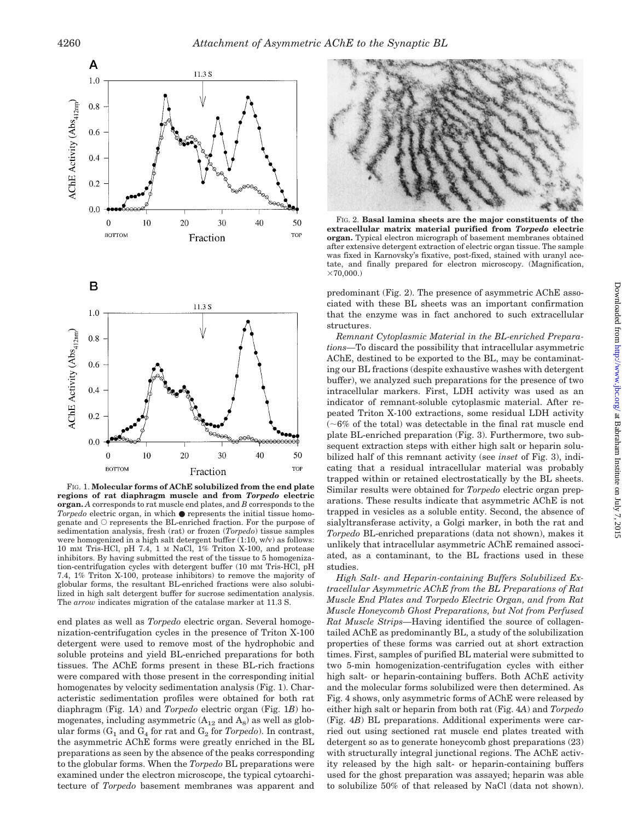

FIG. 1. **Molecular forms of AChE solubilized from the end plate regions of rat diaphragm muscle and from** *Torpedo* **electric organ.** *A* corresponds to rat muscle end plates, and *B* corresponds to the *Torpedo* electric organ, in which ● represents the initial tissue homogenate and  $\bigcirc$  represents the BL-enriched fraction. For the purpose of sedimentation analysis, fresh (rat) or frozen (*Torpedo*) tissue samples were homogenized in a high salt detergent buffer (1:10, w/v) as follows: 10 mM Tris-HCl, pH 7.4, 1 M NaCl, 1% Triton X-100, and protease inhibitors. By having submitted the rest of the tissue to 5 homogenization-centrifugation cycles with detergent buffer (10 mM Tris-HCl, pH 7.4, 1% Triton X-100, protease inhibitors) to remove the majority of globular forms, the resultant BL-enriched fractions were also solubilized in high salt detergent buffer for sucrose sedimentation analysis. The *arrow* indicates migration of the catalase marker at 11.3 S.

end plates as well as *Torpedo* electric organ. Several homogenization-centrifugation cycles in the presence of Triton X-100 detergent were used to remove most of the hydrophobic and soluble proteins and yield BL-enriched preparations for both tissues. The AChE forms present in these BL-rich fractions were compared with those present in the corresponding initial homogenates by velocity sedimentation analysis (Fig. 1). Characteristic sedimentation profiles were obtained for both rat diaphragm (Fig. 1*A*) and *Torpedo* electric organ (Fig. 1*B*) homogenates, including asymmetric  $(A_{12}$  and  $A_8)$  as well as globular forms  $(G_1$  and  $G_4$  for rat and  $G_2$  for *Torpedo*). In contrast, the asymmetric AChE forms were greatly enriched in the BL preparations as seen by the absence of the peaks corresponding to the globular forms. When the *Torpedo* BL preparations were examined under the electron microscope, the typical cytoarchitecture of *Torpedo* basement membranes was apparent and



FIG. 2. **Basal lamina sheets are the major constituents of the extracellular matrix material purified from** *Torpedo* **electric organ.** Typical electron micrograph of basement membranes obtained after extensive detergent extraction of electric organ tissue. The sample was fixed in Karnovsky's fixative, post-fixed, stained with uranyl acetate, and finally prepared for electron microscopy. (Magnification,  $×70.000.$ 

predominant (Fig. 2). The presence of asymmetric AChE associated with these BL sheets was an important confirmation that the enzyme was in fact anchored to such extracellular structures.

*Remnant Cytoplasmic Material in the BL-enriched Preparations—*To discard the possibility that intracellular asymmetric AChE, destined to be exported to the BL, may be contaminating our BL fractions (despite exhaustive washes with detergent buffer), we analyzed such preparations for the presence of two intracellular markers. First, LDH activity was used as an indicator of remnant-soluble cytoplasmic material. After repeated Triton X-100 extractions, some residual LDH activity  $(-6\%$  of the total) was detectable in the final rat muscle end plate BL-enriched preparation (Fig. 3). Furthermore, two subsequent extraction steps with either high salt or heparin solubilized half of this remnant activity (see *inset* of Fig. 3), indicating that a residual intracellular material was probably trapped within or retained electrostatically by the BL sheets. Similar results were obtained for *Torpedo* electric organ preparations. These results indicate that asymmetric AChE is not trapped in vesicles as a soluble entity. Second, the absence of sialyltransferase activity, a Golgi marker, in both the rat and *Torpedo* BL-enriched preparations (data not shown), makes it unlikely that intracellular asymmetric AChE remained associated, as a contaminant, to the BL fractions used in these studies.

*High Salt- and Heparin-containing Buffers Solubilized Extracellular Asymmetric AChE from the BL Preparations of Rat Muscle End Plates and Torpedo Electric Organ, and from Rat Muscle Honeycomb Ghost Preparations, but Not from Perfused Rat Muscle Strips—*Having identified the source of collagentailed AChE as predominantly BL, a study of the solubilization properties of these forms was carried out at short extraction times. First, samples of purified BL material were submitted to two 5-min homogenization-centrifugation cycles with either high salt- or heparin-containing buffers. Both AChE activity and the molecular forms solubilized were then determined. As Fig. 4 shows, only asymmetric forms of AChE were released by either high salt or heparin from both rat (Fig. 4*A*) and *Torpedo* (Fig. 4*B*) BL preparations. Additional experiments were carried out using sectioned rat muscle end plates treated with detergent so as to generate honeycomb ghost preparations (23) with structurally integral junctional regions. The AChE activity released by the high salt- or heparin-containing buffers used for the ghost preparation was assayed; heparin was able to solubilize 50% of that released by NaCl (data not shown).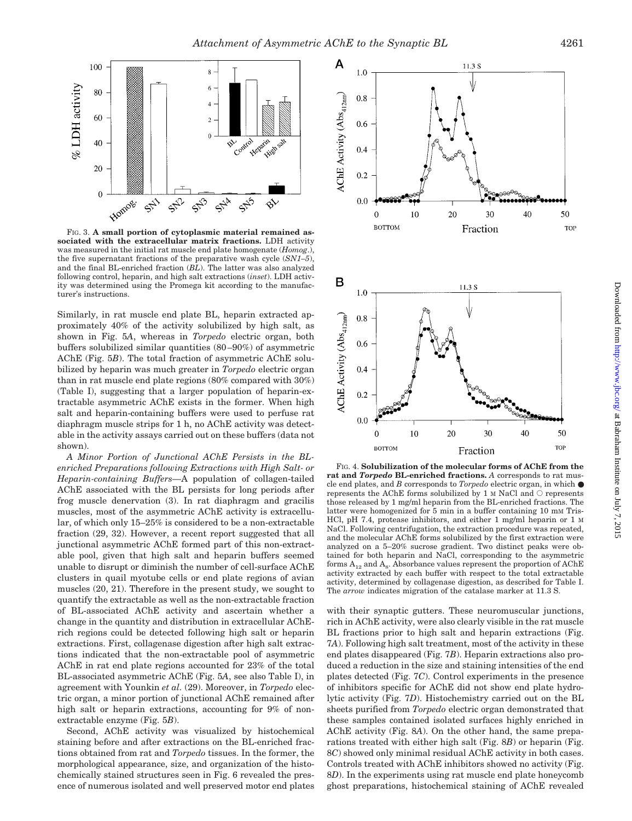

FIG. 3. **A small portion of cytoplasmic material remained associated with the extracellular matrix fractions.** LDH activity was measured in the initial rat muscle end plate homogenate (*Homog*.), the five supernatant fractions of the preparative wash cycle (*SN1–5*), and the final BL-enriched fraction (*BL*). The latter was also analyzed following control, heparin, and high salt extractions (*inset*). LDH activity was determined using the Promega kit according to the manufacturer's instructions.

Similarly, in rat muscle end plate BL, heparin extracted approximately 40% of the activity solubilized by high salt, as shown in Fig. 5*A*, whereas in *Torpedo* electric organ, both buffers solubilized similar quantities (80–90%) of asymmetric AChE (Fig. 5*B*). The total fraction of asymmetric AChE solubilized by heparin was much greater in *Torpedo* electric organ than in rat muscle end plate regions (80% compared with 30%) (Table I), suggesting that a larger population of heparin-extractable asymmetric AChE exists in the former. When high salt and heparin-containing buffers were used to perfuse rat diaphragm muscle strips for 1 h, no AChE activity was detectable in the activity assays carried out on these buffers (data not shown).

*A Minor Portion of Junctional AChE Persists in the BLenriched Preparations following Extractions with High Salt- or Heparin-containing Buffers—*A population of collagen-tailed AChE associated with the BL persists for long periods after frog muscle denervation (3). In rat diaphragm and gracilis muscles, most of the asymmetric AChE activity is extracellular, of which only 15–25% is considered to be a non-extractable fraction (29, 32). However, a recent report suggested that all junctional asymmetric AChE formed part of this non-extractable pool, given that high salt and heparin buffers seemed unable to disrupt or diminish the number of cell-surface AChE clusters in quail myotube cells or end plate regions of avian muscles (20, 21). Therefore in the present study, we sought to quantify the extractable as well as the non-extractable fraction of BL-associated AChE activity and ascertain whether a change in the quantity and distribution in extracellular AChErich regions could be detected following high salt or heparin extractions. First, collagenase digestion after high salt extractions indicated that the non-extractable pool of asymmetric AChE in rat end plate regions accounted for 23% of the total BL-associated asymmetric AChE (Fig. 5*A*, see also Table I), in agreement with Younkin *et al.* (29). Moreover, in *Torpedo* electric organ, a minor portion of junctional AChE remained after high salt or heparin extractions, accounting for 9% of nonextractable enzyme (Fig. 5*B*).

Second, AChE activity was visualized by histochemical staining before and after extractions on the BL-enriched fractions obtained from rat and *Torpedo* tissues. In the former, the morphological appearance, size, and organization of the histochemically stained structures seen in Fig. 6 revealed the presence of numerous isolated and well preserved motor end plates



FIG. 4. **Solubilization of the molecular forms of AChE from the rat and** *Torpedo* **BL-enriched fractions.** *A* corresponds to rat muscle end plates, and *B* corresponds to *Torpedo* electric organ, in which ● represents the AChE forms solubilized by 1 M NaCl and  $\circ$  represents those released by 1 mg/ml heparin from the BL-enriched fractions. The latter were homogenized for 5 min in a buffer containing 10 mM Tris-HCl, pH 7.4, protease inhibitors, and either 1 mg/ml heparin or 1 M NaCl. Following centrifugation, the extraction procedure was repeated, and the molecular AChE forms solubilized by the first extraction were analyzed on a 5–20% sucrose gradient. Two distinct peaks were obtained for both heparin and NaCl, corresponding to the asymmetric forms  $A_{12}$  and  $A_8$ . Absorbance values represent the proportion of AChE activity extracted by each buffer with respect to the total extractable activity, determined by collagenase digestion, as described for Table I. The *arrow* indicates migration of the catalase marker at 11.3 S.

with their synaptic gutters. These neuromuscular junctions, rich in AChE activity, were also clearly visible in the rat muscle BL fractions prior to high salt and heparin extractions (Fig. 7*A*). Following high salt treatment, most of the activity in these end plates disappeared (Fig. 7*B*). Heparin extractions also produced a reduction in the size and staining intensities of the end plates detected (Fig. 7*C*). Control experiments in the presence of inhibitors specific for AChE did not show end plate hydrolytic activity (Fig. 7*D*). Histochemistry carried out on the BL sheets purified from *Torpedo* electric organ demonstrated that these samples contained isolated surfaces highly enriched in AChE activity (Fig. 8*A*). On the other hand, the same preparations treated with either high salt (Fig. 8*B*) or heparin (Fig. 8*C*) showed only minimal residual AChE activity in both cases. Controls treated with AChE inhibitors showed no activity (Fig. 8*D*). In the experiments using rat muscle end plate honeycomb ghost preparations, histochemical staining of AChE revealed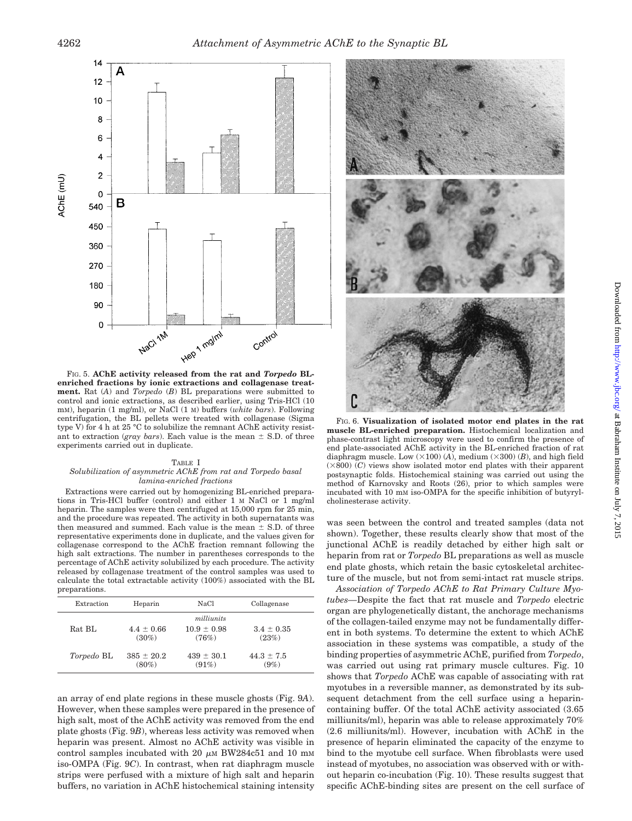

FIG. 5. **AChE activity released from the rat and** *Torpedo* **BLenriched fractions by ionic extractions and collagenase treatment.** Rat (*A*) and *Torpedo* (*B*) BL preparations were submitted to control and ionic extractions, as described earlier, using Tris-HCl (10 mM), heparin (1 mg/ml), or NaCl (1 M) buffers (*white bars*). Following centrifugation, the BL pellets were treated with collagenase (Sigma type V) for 4 h at 25 °C to solubilize the remnant AChE activity resistant to extraction (*gray bars*). Each value is the mean  $\pm$  S.D. of three experiments carried out in duplicate.

#### TABLE I *Solubilization of asymmetric AChE from rat and Torpedo basal lamina-enriched fractions*

Extractions were carried out by homogenizing BL-enriched preparations in Tris-HCl buffer (control) and either 1 M NaCl or 1 mg/ml heparin. The samples were then centrifuged at 15,000 rpm for 25 min, and the procedure was repeated. The activity in both supernatants was then measured and summed. Each value is the mean  $\pm$  S.D. of three representative experiments done in duplicate, and the values given for collagenase correspond to the AChE fraction remnant following the high salt extractions. The number in parentheses corresponds to the percentage of AChE activity solubilized by each procedure. The activity released by collagenase treatment of the control samples was used to calculate the total extractable activity (100%) associated with the BL preparations.

| Extraction        | Heparin                    | NaCl                                   | Collagenase               |  |
|-------------------|----------------------------|----------------------------------------|---------------------------|--|
| Rat BL            | $4.4 \pm 0.66$<br>$(30\%)$ | milliunits<br>$10.9 \pm 0.98$<br>(76%) | $3.4 \pm 0.35$<br>(23%)   |  |
| <i>Torpedo</i> BL | $385 \pm 20.2$<br>$(80\%)$ | $439 \pm 30.1$<br>(91%)                | $44.3 \pm 7.5$<br>$(9\%)$ |  |

an array of end plate regions in these muscle ghosts (Fig. 9*A*). However, when these samples were prepared in the presence of high salt, most of the AChE activity was removed from the end plate ghosts (Fig. 9*B*), whereas less activity was removed when heparin was present. Almost no AChE activity was visible in control samples incubated with 20  $\mu$ M BW284c51 and 10 mM iso-OMPA (Fig. 9*C*). In contrast, when rat diaphragm muscle strips were perfused with a mixture of high salt and heparin buffers, no variation in AChE histochemical staining intensity



FIG. 6. **Visualization of isolated motor end plates in the rat muscle BL-enriched preparation.** Histochemical localization and phase-contrast light microscopy were used to confirm the presence of end plate-associated AChE activity in the BL-enriched fraction of rat diaphragm muscle. Low  $(\times 100)$  (*A*), medium  $(\times 300)$  (*B*), and high field  $(\times 800)$  (*C*) views show isolated motor end plates with their apparent postsynaptic folds. Histochemical staining was carried out using the method of Karnovsky and Roots (26), prior to which samples were incubated with 10 mM iso-OMPA for the specific inhibition of butyrylcholinesterase activity.

was seen between the control and treated samples (data not shown). Together, these results clearly show that most of the junctional AChE is readily detached by either high salt or heparin from rat or *Torpedo* BL preparations as well as muscle end plate ghosts, which retain the basic cytoskeletal architecture of the muscle, but not from semi-intact rat muscle strips.

*Association of Torpedo AChE to Rat Primary Culture Myotubes—*Despite the fact that rat muscle and *Torpedo* electric organ are phylogenetically distant, the anchorage mechanisms of the collagen-tailed enzyme may not be fundamentally different in both systems. To determine the extent to which AChE association in these systems was compatible, a study of the binding properties of asymmetric AChE, purified from *Torpedo*, was carried out using rat primary muscle cultures. Fig. 10 shows that *Torpedo* AChE was capable of associating with rat myotubes in a reversible manner, as demonstrated by its subsequent detachment from the cell surface using a heparincontaining buffer. Of the total AChE activity associated (3.65 milliunits/ml), heparin was able to release approximately 70% (2.6 milliunits/ml). However, incubation with AChE in the presence of heparin eliminated the capacity of the enzyme to bind to the myotube cell surface. When fibroblasts were used instead of myotubes, no association was observed with or without heparin co-incubation (Fig. 10). These results suggest that specific AChE-binding sites are present on the cell surface of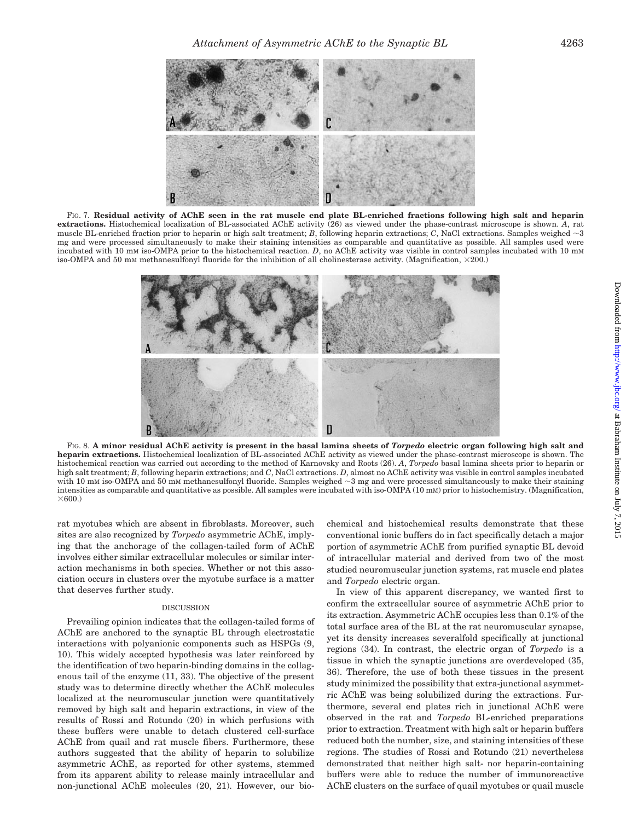

FIG. 7. **Residual activity of AChE seen in the rat muscle end plate BL-enriched fractions following high salt and heparin extractions.** Histochemical localization of BL-associated AChE activity (26) as viewed under the phase-contrast microscope is shown. *A*, rat muscle BL-enriched fraction prior to heparin or high salt treatment; *B*, following heparin extractions; *C*, NaCl extractions. Samples weighed  $\sim$ 3 mg and were processed simultaneously to make their staining intensities as comparable and quantitative as possible. All samples used were incubated with 10 mM iso-OMPA prior to the histochemical reaction. *D*, no AChE activity was visible in control samples incubated with 10 mM iso-OMPA and 50 mM methanesulfonyl fluoride for the inhibition of all cholinesterase activity. (Magnification,  $\times$ 200.)



FIG. 8. **A minor residual AChE activity is present in the basal lamina sheets of** *Torpedo* **electric organ following high salt and heparin extractions.** Histochemical localization of BL-associated AChE activity as viewed under the phase-contrast microscope is shown. The histochemical reaction was carried out according to the method of Karnovsky and Roots (26). *A*, *Torpedo* basal lamina sheets prior to heparin or high salt treatment; *B*, following heparin extractions; and *C*, NaCl extractions. *D*, almost no AChE activity was visible in control samples incubated with 10 mm iso-OMPA and 50 mm methanesulfonyl fluoride. Samples weighed  $\sim$ 3 mg and were processed simultaneously to make their staining intensities as comparable and quantitative as possible. All samples were incubated with iso-OMPA (10 mM) prior to histochemistry. (Magnification,  $\times$ 600.)

rat myotubes which are absent in fibroblasts. Moreover, such sites are also recognized by *Torpedo* asymmetric AChE, implying that the anchorage of the collagen-tailed form of AChE involves either similar extracellular molecules or similar interaction mechanisms in both species. Whether or not this association occurs in clusters over the myotube surface is a matter that deserves further study.

## DISCUSSION

Prevailing opinion indicates that the collagen-tailed forms of AChE are anchored to the synaptic BL through electrostatic interactions with polyanionic components such as HSPGs (9, 10). This widely accepted hypothesis was later reinforced by the identification of two heparin-binding domains in the collagenous tail of the enzyme (11, 33). The objective of the present study was to determine directly whether the AChE molecules localized at the neuromuscular junction were quantitatively removed by high salt and heparin extractions, in view of the results of Rossi and Rotundo (20) in which perfusions with these buffers were unable to detach clustered cell-surface AChE from quail and rat muscle fibers. Furthermore, these authors suggested that the ability of heparin to solubilize asymmetric AChE, as reported for other systems, stemmed from its apparent ability to release mainly intracellular and non-junctional AChE molecules (20, 21). However, our biochemical and histochemical results demonstrate that these conventional ionic buffers do in fact specifically detach a major portion of asymmetric AChE from purified synaptic BL devoid of intracellular material and derived from two of the most studied neuromuscular junction systems, rat muscle end plates and *Torpedo* electric organ.

In view of this apparent discrepancy, we wanted first to confirm the extracellular source of asymmetric AChE prior to its extraction. Asymmetric AChE occupies less than 0.1% of the total surface area of the BL at the rat neuromuscular synapse, yet its density increases severalfold specifically at junctional regions (34). In contrast, the electric organ of *Torpedo* is a tissue in which the synaptic junctions are overdeveloped (35, 36). Therefore, the use of both these tissues in the present study minimized the possibility that extra-junctional asymmetric AChE was being solubilized during the extractions. Furthermore, several end plates rich in junctional AChE were observed in the rat and *Torpedo* BL-enriched preparations prior to extraction. Treatment with high salt or heparin buffers reduced both the number, size, and staining intensities of these regions. The studies of Rossi and Rotundo (21) nevertheless demonstrated that neither high salt- nor heparin-containing buffers were able to reduce the number of immunoreactive AChE clusters on the surface of quail myotubes or quail muscle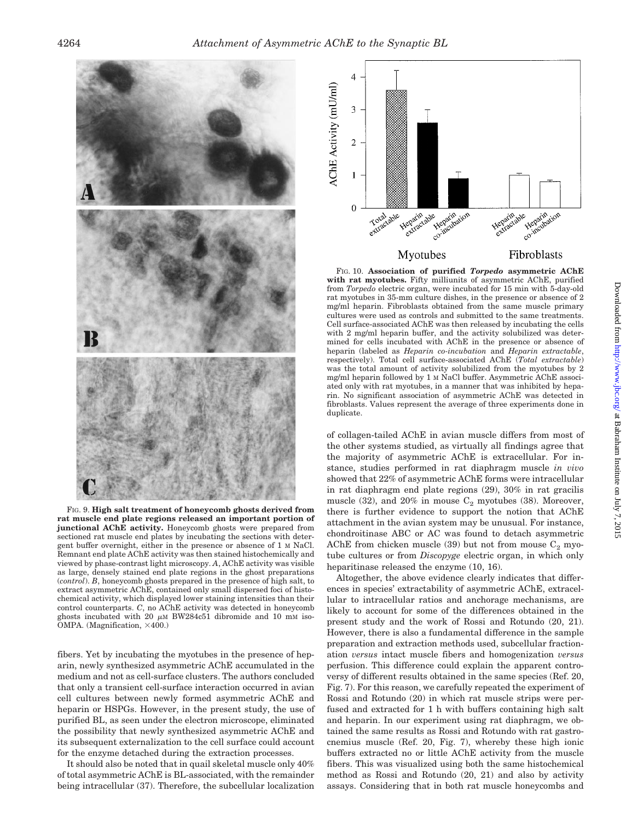

FIG. 9. **High salt treatment of honeycomb ghosts derived from rat muscle end plate regions released an important portion of junctional AChE activity.** Honeycomb ghosts were prepared from sectioned rat muscle end plates by incubating the sections with detergent buffer overnight, either in the presence or absence of 1 M NaCl. Remnant end plate AChE activity was then stained histochemically and viewed by phase-contrast light microscopy. *A*, AChE activity was visible as large, densely stained end plate regions in the ghost preparations (*control*). *B*, honeycomb ghosts prepared in the presence of high salt, to extract asymmetric AChE, contained only small dispersed foci of histochemical activity, which displayed lower staining intensities than their control counterparts. *C*, no AChE activity was detected in honeycomb ghosts incubated with 20  $\mu$ M BW284c51 dibromide and 10 mM iso-OMPA. (Magnification,  $\times$ 400.)

fibers. Yet by incubating the myotubes in the presence of heparin, newly synthesized asymmetric AChE accumulated in the medium and not as cell-surface clusters. The authors concluded that only a transient cell-surface interaction occurred in avian cell cultures between newly formed asymmetric AChE and heparin or HSPGs. However, in the present study, the use of purified BL, as seen under the electron microscope, eliminated the possibility that newly synthesized asymmetric AChE and its subsequent externalization to the cell surface could account for the enzyme detached during the extraction processes.

It should also be noted that in quail skeletal muscle only 40% of total asymmetric AChE is BL-associated, with the remainder being intracellular (37). Therefore, the subcellular localization



FIG. 10. **Association of purified** *Torpedo* **asymmetric AChE with rat myotubes.** Fifty milliunits of asymmetric AChE, purified from *Torpedo* electric organ, were incubated for 15 min with 5-day-old rat myotubes in 35-mm culture dishes, in the presence or absence of 2 mg/ml heparin. Fibroblasts obtained from the same muscle primary cultures were used as controls and submitted to the same treatments. Cell surface-associated AChE was then released by incubating the cells with 2 mg/ml heparin buffer, and the activity solubilized was determined for cells incubated with AChE in the presence or absence of heparin (labeled as *Heparin co-incubation* and *Heparin extractable*, respectively). Total cell surface-associated AChE (*Total extractable*) was the total amount of activity solubilized from the myotubes by 2 mg/ml heparin followed by 1 M NaCl buffer. Asymmetric AChE associated only with rat myotubes, in a manner that was inhibited by heparin. No significant association of asymmetric AChE was detected in fibroblasts. Values represent the average of three experiments done in duplicate.

of collagen-tailed AChE in avian muscle differs from most of the other systems studied, as virtually all findings agree that the majority of asymmetric AChE is extracellular. For instance, studies performed in rat diaphragm muscle *in vivo* showed that 22% of asymmetric AChE forms were intracellular in rat diaphragm end plate regions (29), 30% in rat gracilis muscle (32), and 20% in mouse  $C_2$  myotubes (38). Moreover, there is further evidence to support the notion that AChE attachment in the avian system may be unusual. For instance, chondroitinase ABC or AC was found to detach asymmetric AChE from chicken muscle (39) but not from mouse  $C_2$  myotube cultures or from *Discopyge* electric organ, in which only heparitinase released the enzyme (10, 16).

Altogether, the above evidence clearly indicates that differences in species' extractability of asymmetric AChE, extracellular to intracellular ratios and anchorage mechanisms, are likely to account for some of the differences obtained in the present study and the work of Rossi and Rotundo (20, 21). However, there is also a fundamental difference in the sample preparation and extraction methods used, subcellular fractionation *versus* intact muscle fibers and homogenization *versus* perfusion. This difference could explain the apparent controversy of different results obtained in the same species (Ref. 20, Fig. 7). For this reason, we carefully repeated the experiment of Rossi and Rotundo (20) in which rat muscle strips were perfused and extracted for 1 h with buffers containing high salt and heparin. In our experiment using rat diaphragm, we obtained the same results as Rossi and Rotundo with rat gastrocnemius muscle (Ref. 20, Fig. 7), whereby these high ionic buffers extracted no or little AChE activity from the muscle fibers. This was visualized using both the same histochemical method as Rossi and Rotundo (20, 21) and also by activity assays. Considering that in both rat muscle honeycombs and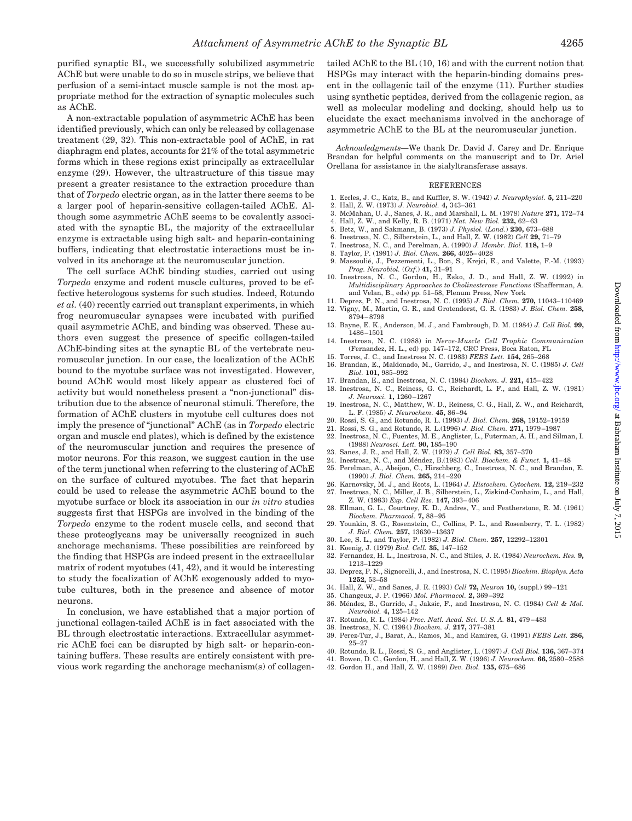purified synaptic BL, we successfully solubilized asymmetric AChE but were unable to do so in muscle strips, we believe that perfusion of a semi-intact muscle sample is not the most appropriate method for the extraction of synaptic molecules such as AChE.

A non-extractable population of asymmetric AChE has been identified previously, which can only be released by collagenase treatment (29, 32). This non-extractable pool of AChE, in rat diaphragm end plates, accounts for 21% of the total asymmetric forms which in these regions exist principally as extracellular enzyme (29). However, the ultrastructure of this tissue may present a greater resistance to the extraction procedure than that of *Torpedo* electric organ, as in the latter there seems to be a larger pool of heparin-sensitive collagen-tailed AChE. Although some asymmetric AChE seems to be covalently associated with the synaptic BL, the majority of the extracellular enzyme is extractable using high salt- and heparin-containing buffers, indicating that electrostatic interactions must be involved in its anchorage at the neuromuscular junction.

The cell surface AChE binding studies, carried out using *Torpedo* enzyme and rodent muscle cultures, proved to be effective heterologous systems for such studies. Indeed, Rotundo *et al.* (40) recently carried out transplant experiments, in which frog neuromuscular synapses were incubated with purified quail asymmetric AChE, and binding was observed. These authors even suggest the presence of specific collagen-tailed AChE-binding sites at the synaptic BL of the vertebrate neuromuscular junction. In our case, the localization of the AChE bound to the myotube surface was not investigated. However, bound AChE would most likely appear as clustered foci of activity but would nonetheless present a "non-junctional" distribution due to the absence of neuronal stimuli. Therefore, the formation of AChE clusters in myotube cell cultures does not imply the presence of "junctional" AChE (as in *Torpedo* electric organ and muscle end plates), which is defined by the existence of the neuromuscular junction and requires the presence of motor neurons. For this reason, we suggest caution in the use of the term junctional when referring to the clustering of AChE on the surface of cultured myotubes. The fact that heparin could be used to release the asymmetric AChE bound to the myotube surface or block its association in our *in vitro* studies suggests first that HSPGs are involved in the binding of the *Torpedo* enzyme to the rodent muscle cells, and second that these proteoglycans may be universally recognized in such anchorage mechanisms. These possibilities are reinforced by the finding that HSPGs are indeed present in the extracellular matrix of rodent myotubes (41, 42), and it would be interesting to study the focalization of AChE exogenously added to myotube cultures, both in the presence and absence of motor neurons.

In conclusion, we have established that a major portion of junctional collagen-tailed AChE is in fact associated with the BL through electrostatic interactions. Extracellular asymmetric AChE foci can be disrupted by high salt- or heparin-containing buffers. These results are entirely consistent with previous work regarding the anchorage mechanism(s) of collagentailed AChE to the BL (10, 16) and with the current notion that HSPGs may interact with the heparin-binding domains present in the collagenic tail of the enzyme (11). Further studies using synthetic peptides, derived from the collagenic region, as well as molecular modeling and docking, should help us to elucidate the exact mechanisms involved in the anchorage of asymmetric AChE to the BL at the neuromuscular junction.

*Acknowledgments—*We thank Dr. David J. Carey and Dr. Enrique Brandan for helpful comments on the manuscript and to Dr. Ariel Orellana for assistance in the sialyltransferase assays.

#### **REFERENCES**

- 1. Eccles, J. C., Katz, B., and Kuffler, S. W. (1942) *J. Neurophysiol.* **5,** 211–220
- 2. Hall, Z. W. (1973) *J. Neurobiol.* **4,** 343–361
- 3. McMahan, U. J., Sanes, J. R., and Marshall, L. M. (1978) *Nature* **271,** 172–74
- 4. Hall, Z. W., and Kelly, R. B. (1971) *Nat. New Biol.* **232,** 62–63
- 5. Betz, W., and Sakmann, B. (1973) *J. Physiol.* (*Lond*.) **230,** 673–688
- 6. Inestrosa, N. C., Silberstein, L., and Hall, Z. W. (1982) *Cell* **29,** 71–79 7. Inestrosa, N. C., and Perelman, A. (1990) *J. Membr. Biol.* **118,** 1–9
- 8. Taylor, P. (1991) *J. Biol. Chem.* **266,** 4025–4028
- 9. Massoulié, J., Pezzementi, L., Bon, S., Krejci, E., and Valette, F.-M. (1993) *Prog. Neurobiol.* (*Oxf*.) **41,** 31–91
- 10. Inestrosa, N. C., Gordon, H., Esko, J. D., and Hall, Z. W. (1992) in *Multidisciplinary Approaches to Cholinesterase Functions* (Shafferman, A. and Velan, B., eds) pp. 51–58, Plenum Press, New York
- 11. Deprez, P. N., and Inestrosa, N. C. (1995) *J. Biol. Chem.* **270,** 11043–110469 12. Vigny, M., Martin, G. R., and Grotendorst, G. R. (1983) *J. Biol. Chem.* **258,**
- 8794–8798 13. Bayne, E. K., Anderson, M. J., and Fambrough, D. M. (1984) *J. Cell Biol.* **99,** 1486–1501
- 14. Inestrosa, N. C. (1988) in *Nerve-Muscle Cell Trophic Communication*
- (Fernandez, H. L., ed) pp. 147–172, CRC Press, Boca Raton, FL
- 15. Torres, J. C., and Inestrosa N. C. (1983) *FEBS Lett.* **154,** 265–268
- 16. Brandan, E., Maldonado, M., Garrido, J., and Inestrosa, N. C. (1985) *J. Cell Biol.* **101,** 985–992
- 17. Brandan, E., and Inestrosa, N. C. (1984) *Biochem. J.* **221,** 415–422 18. Inestrosa, N. C., Reiness, G. C., Reichardt, L. F., and Hall, Z. W. (1981)
- *J. Neurosci.* **1,** 1260–1267
- 19. Inestrosa, N. C., Matthew, W. D., Reiness, C. G., Hall, Z. W., and Reichardt, L. F. (1985) *J. Neurochem.* **45,** 86–94
- 20. Rossi, S. G., and Rotundo, R. L. (1993) *J. Biol. Chem.* **268,** 19152–19159
- 21. Rossi, S. G., and Rotundo, R. L.(1996) *J. Biol. Chem.* **271,** 1979–1987
- 22. Inestrosa, N. C., Fuentes, M. E., Anglister, L., Futerman, A. H., and Silman, I. (1988) *Neurosci. Lett.* **90,** 185–190
- 23. Sanes, J. R., and Hall, Z. W. (1979) *J. Cell Biol.* **83,** 357–370
- 24. Inestrosa, N. C., and Me´ndez, B.(1983) *Cell. Biochem. & Funct.* **1,** 41–48
- 25. Perelman, A., Abeijon, C., Hirschberg, C., Inestrosa, N. C., and Brandan, E. (1990) *J. Biol. Chem.* **265,** 214–220
- 26. Karnovsky, M. J., and Roots, L. (1964) *J. Histochem. Cytochem.* **12,** 219–232 27. Inestrosa, N. C., Miller, J. B., Silberstein, L., Ziskind-Conhaim, L., and Hall,
- Z. W. (1983) *Exp. Cell Res.* **147,** 393–406 28. Ellman, G. L., Courtney, K. D., Andres, V., and Featherstone, R. M. (1961) *Biochem. Pharmacol.* **7,** 88–95
- 29. Younkin, S. G., Rosenstein, C., Collins, P. L., and Rosenberry, T. L. (1982) *J. Biol. Chem.* **257,** 13630–13637
- 30. Lee, S. L., and Taylor, P. (1982) *J. Biol. Chem.* **257,** 12292–12301
- 31. Koenig, J. (1979) *Biol. Cell.* **35,** 147–152
- 32. Fernandez, H. L., Inestrosa, N. C., and Stiles, J. R. (1984) *Neurochem. Res.* **9,** 1213–1229
- 33. Deprez, P. N., Signorelli, J., and Inestrosa, N. C. (1995) *Biochim. Biophys. Acta* **1252,** 53–58
- 34. Hall, Z. W., and Sanes, J. R. (1993) *Cell* **72,** *Neuron* **10,** (suppl.) 99–121
- 35. Changeux, J. P. (1966) *Mol. Pharmacol.* **2,** 369–392
- 36. Méndez, B., Garrido, J., Jaksic, F., and Inestrosa, N. C. (1984) *Cell & Mol. Neurobiol.* **4,** 125–142
- 37. Rotundo, R. L. (1984) *Proc. Natl. Acad. Sci. U. S. A.* **81,** 479–483
- 38. Inestrosa, N. C. (1984) *Biochem. J.* **217,** 377–381
- 39. Perez-Tur, J., Barat, A., Ramos, M., and Ramirez, G. (1991) *FEBS Lett.* **286,** 25–27
- 40. Rotundo, R. L., Rossi, S. G., and Anglister, L. (1997) *J. Cell Biol.* **136,** 367–374
- 41. Bowen, D. C., Gordon, H., and Hall, Z. W. (1996) *J. Neurochem.* **66,** 2580–2588
- 42. Gordon H., and Hall, Z. W. (1989) *Dev. Biol.* **135,** 675–686

Downloaded from http://www.jbc.org/ at Babraham Institute on July 7, 2015 Downloaded from [http://www.jbc.org](http://www.jbc.org/)/ at Babraham Institute on July 7, 2015